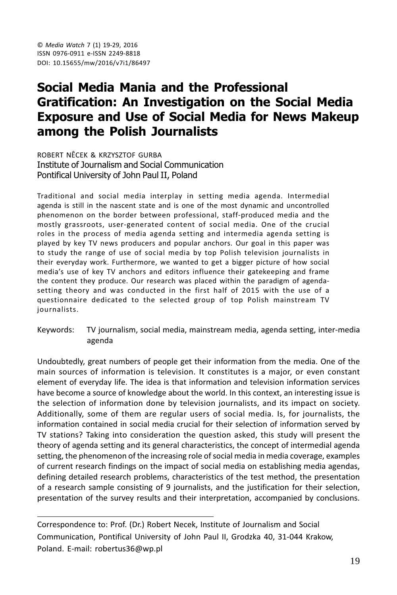# Social Media Mania and the Professional **Gratification: An Investigation on the Social Media Exposure and Use of Social Media for News Makeup** among the Polish Journalists

ROBERT NÊCEK & KRZYSZTOF GURBA Institute of Journalism and Social Communication Pontifical University of John Paul II, Poland

Traditional and social media interplay in setting media agenda. Intermedial agenda is still in the nascent state and is one of the most dynamic and uncontrolled phenomenon on the border between professional, staff-produced media and the mostly grassroots, user-generated content of social media. One of the crucial roles in the process of media agenda setting and intermedia agenda setting is played by key TV news producers and popular anchors. Our goal in this paper was to study the range of use of social media by top Polish television journalists in their everyday work. Furthermore, we wanted to get a bigger picture of how social media's use of key TV anchors and editors influence their gatekeeping and frame the content they produce. Our research was placed within the paradigm of agendasetting theory and was conducted in the first half of 2015 with the use of a questionnaire dedicated to the selected group of top Polish mainstream TV journalists.

Keywords: TV journalism, social media, mainstream media, agenda setting, inter-media agenda

Undoubtedly, great numbers of people get their information from the media. One of the main sources of information is television. It constitutes is a major, or even constant element of everyday life. The idea is that information and television information services have become a source of knowledge about the world. In this context, an interesting issue is the selection of information done by television journalists, and its impact on society. Additionally, some of them are regular users of social media. Is, for journalists, the information contained in social media crucial for their selection of information served by TV stations? Taking into consideration the question asked, this study will present the theory of agenda setting and its general characteristics, the concept of intermedial agenda setting, the phenomenon of the increasing role of social media in media coverage, examples of current research findings on the impact of social media on establishing media agendas, defining detailed research problems, characteristics of the test method, the presentation of a research sample consisting of 9 journalists, and the justification for their selection, presentation of the survey results and their interpretation, accompanied by conclusions.

Correspondence to: Prof. (Dr.) Robert Necek, Institute of Journalism and Social Communication, Pontifical University of John Paul II, Grodzka 40, 31-044 Krakow, Poland. E-mail: robertus36@wp.pl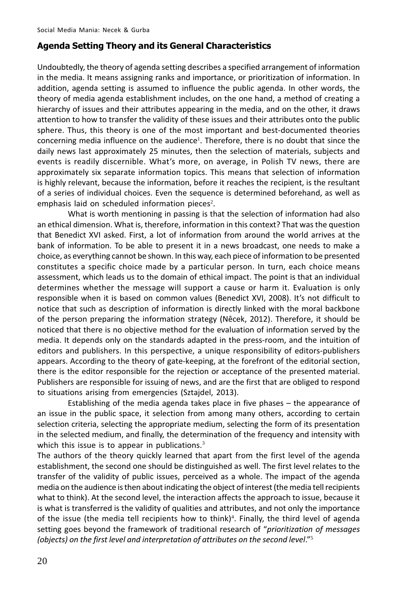#### **Agenda Setting Theory and its General Characteristics**

Undoubtedly, the theory of agenda setting describes a specified arrangement of information in the media. It means assigning ranks and importance, or prioritization of information. In addition, agenda setting is assumed to influence the public agenda. In other words, the theory of media agenda establishment includes, on the one hand, a method of creating a hierarchy of issues and their attributes appearing in the media, and on the other, it draws attention to how to transfer the validity of these issues and their attributes onto the public sphere. Thus, this theory is one of the most important and best-documented theories concerning media influence on the audience<sup>1</sup>. Therefore, there is no doubt that since the daily news last approximately 25 minutes, then the selection of materials, subjects and events is readily discernible. What's more, on average, in Polish TV news, there are approximately six separate information topics. This means that selection of information is highly relevant, because the information, before it reaches the recipient, is the resultant of a series of individual choices. Even the sequence is determined beforehand, as well as emphasis laid on scheduled information pieces<sup>2</sup>.

What is worth mentioning in passing is that the selection of information had also an ethical dimension. What is, therefore, information in this context? That was the question that Benedict XVI asked. First, a lot of information from around the world arrives at the bank of information. To be able to present it in a news broadcast, one needs to make a choice, as everything cannot be shown. In this way, each piece of information to be presented constitutes a specific choice made by a particular person. In turn, each choice means assessment, which leads us to the domain of ethical impact. The point is that an individual determines whether the message will support a cause or harm it. Evaluation is only responsible when it is based on common values (Benedict XVI, 2008). It's not difficult to notice that such as description of information is directly linked with the moral backbone of the person preparing the information strategy (Nêcek, 2012). Therefore, it should be noticed that there is no objective method for the evaluation of information served by the media. It depends only on the standards adapted in the press-room, and the intuition of editors and publishers. In this perspective, a unique responsibility of editors-publishers appears. According to the theory of gate-keeping, at the forefront of the editorial section, there is the editor responsible for the rejection or acceptance of the presented material. Publishers are responsible for issuing of news, and are the first that are obliged to respond to situations arising from emergencies (Sztajdel, 2013).

Establishing of the media agenda takes place in five phases - the appearance of an issue in the public space, it selection from among many others, according to certain selection criteria, selecting the appropriate medium, selecting the form of its presentation in the selected medium, and finally, the determination of the frequency and intensity with which this issue is to appear in publications. $3$ 

The authors of the theory quickly learned that apart from the first level of the agenda establishment, the second one should be distinguished as well. The first level relates to the transfer of the validity of public issues, perceived as a whole. The impact of the agenda media on the audience is then about indicating the object of interest (the media tell recipients what to think). At the second level, the interaction affects the approach to issue, because it is what is transferred is the validity of qualities and attributes, and not only the importance of the issue (the media tell recipients how to think)<sup>4</sup>. Finally, the third level of agenda setting goes beyond the framework of traditional research of "prioritization of messages (objects) on the first level and interpretation of attributes on the second level."5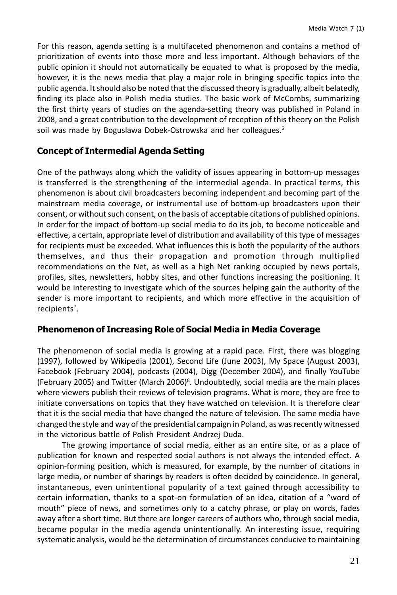For this reason, agenda setting is a multifaceted phenomenon and contains a method of prioritization of events into those more and less important. Although behaviors of the public opinion it should not automatically be equated to what is proposed by the media, however, it is the news media that play a major role in bringing specific topics into the public agenda. It should also be noted that the discussed theory is gradually, albeit belatedly, finding its place also in Polish media studies. The basic work of McCombs, summarizing the first thirty years of studies on the agenda-setting theory was published in Poland in 2008, and a great contribution to the development of reception of this theory on the Polish soil was made by Boguslawa Dobek-Ostrowska and her colleagues.<sup>6</sup>

# **Concept of Intermedial Agenda Setting**

One of the pathways along which the validity of issues appearing in bottom-up messages is transferred is the strengthening of the intermedial agenda. In practical terms, this phenomenon is about civil broadcasters becoming independent and becoming part of the mainstream media coverage, or instrumental use of bottom-up broadcasters upon their consent, or without such consent, on the basis of acceptable citations of published opinions. In order for the impact of bottom-up social media to do its job, to become noticeable and effective, a certain, appropriate level of distribution and availability of this type of messages for recipients must be exceeded. What influences this is both the popularity of the authors themselves, and thus their propagation and promotion through multiplied recommendations on the Net, as well as a high Net ranking occupied by news portals, profiles, sites, newsletters, hobby sites, and other functions increasing the positioning. It would be interesting to investigate which of the sources helping gain the authority of the sender is more important to recipients, and which more effective in the acquisition of recipients<sup>7</sup>.

#### **Phenomenon of Increasing Role of Social Media in Media Coverage**

The phenomenon of social media is growing at a rapid pace. First, there was blogging (1997), followed by Wikipedia (2001), Second Life (June 2003), My Space (August 2003), Facebook (February 2004), podcasts (2004), Digg (December 2004), and finally YouTube (February 2005) and Twitter (March 2006)<sup>8</sup>. Undoubtedly, social media are the main places where viewers publish their reviews of television programs. What is more, they are free to initiate conversations on topics that they have watched on television. It is therefore clear that it is the social media that have changed the nature of television. The same media have changed the style and way of the presidential campaign in Poland, as was recently witnessed in the victorious battle of Polish President Andrzej Duda.

The growing importance of social media, either as an entire site, or as a place of publication for known and respected social authors is not always the intended effect. A opinion-forming position, which is measured, for example, by the number of citations in large media, or number of sharings by readers is often decided by coincidence. In general, instantaneous, even unintentional popularity of a text gained through accessibility to certain information, thanks to a spot-on formulation of an idea, citation of a "word of mouth" piece of news, and sometimes only to a catchy phrase, or play on words, fades away after a short time. But there are longer careers of authors who, through social media, became popular in the media agenda unintentionally. An interesting issue, requiring systematic analysis, would be the determination of circumstances conducive to maintaining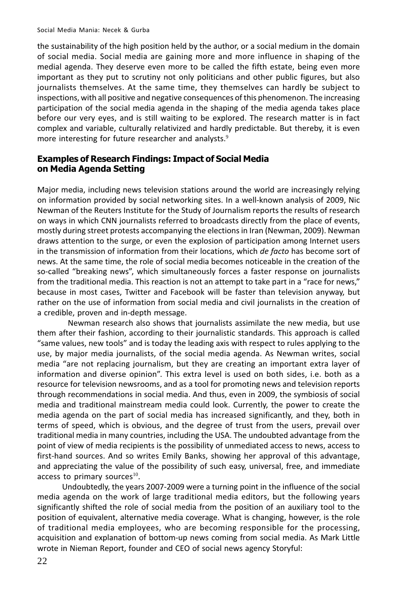the sustainability of the high position held by the author, or a social medium in the domain of social media. Social media are gaining more and more influence in shaping of the medial agenda. They deserve even more to be called the fifth estate, being even more important as they put to scrutiny not only politicians and other public figures, but also journalists themselves. At the same time, they themselves can hardly be subject to inspections, with all positive and negative consequences of this phenomenon. The increasing participation of the social media agenda in the shaping of the media agenda takes place before our very eyes, and is still waiting to be explored. The research matter is in fact complex and variable, culturally relativized and hardly predictable. But thereby, it is even more interesting for future researcher and analysts.<sup>9</sup>

#### **Examples of Research Findings: Impact of Social Media** on Media Agenda Setting

Major media, including news television stations around the world are increasingly relying on information provided by social networking sites. In a well-known analysis of 2009, Nic Newman of the Reuters Institute for the Study of Journalism reports the results of research on ways in which CNN journalists referred to broadcasts directly from the place of events, mostly during street protests accompanying the elections in Iran (Newman, 2009). Newman draws attention to the surge, or even the explosion of participation among Internet users in the transmission of information from their locations, which de facto has become sort of news. At the same time, the role of social media becomes noticeable in the creation of the so-called "breaking news", which simultaneously forces a faster response on journalists from the traditional media. This reaction is not an attempt to take part in a "race for news," because in most cases, Twitter and Facebook will be faster than television anyway, but rather on the use of information from social media and civil journalists in the creation of a credible, proven and in-depth message.

Newman research also shows that journalists assimilate the new media, but use them after their fashion, according to their journalistic standards. This approach is called "same values, new tools" and is today the leading axis with respect to rules applying to the use, by major media journalists, of the social media agenda. As Newman writes, social media "are not replacing journalism, but they are creating an important extra layer of information and diverse opinion". This extra level is used on both sides, i.e. both as a resource for television newsrooms, and as a tool for promoting news and television reports through recommendations in social media. And thus, even in 2009, the symbiosis of social media and traditional mainstream media could look. Currently, the power to create the media agenda on the part of social media has increased significantly, and they, both in terms of speed, which is obvious, and the degree of trust from the users, prevail over traditional media in many countries, including the USA. The undoubted advantage from the point of view of media recipients is the possibility of unmediated access to news, access to first-hand sources. And so writes Emily Banks, showing her approval of this advantage, and appreciating the value of the possibility of such easy, universal, free, and immediate access to primary sources<sup>10</sup>.

Undoubtedly, the years 2007-2009 were a turning point in the influence of the social media agenda on the work of large traditional media editors, but the following years significantly shifted the role of social media from the position of an auxiliary tool to the position of equivalent, alternative media coverage. What is changing, however, is the role of traditional media employees, who are becoming responsible for the processing, acquisition and explanation of bottom-up news coming from social media. As Mark Little wrote in Nieman Report, founder and CEO of social news agency Storyful: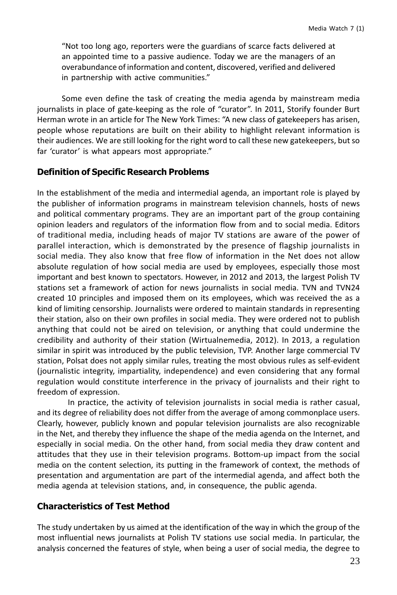"Not too long ago, reporters were the guardians of scarce facts delivered at an appointed time to a passive audience. Today we are the managers of an overabundance of information and content, discovered, verified and delivered in partnership with active communities."

Some even define the task of creating the media agenda by mainstream media journalists in place of gate-keeping as the role of "curator". In 2011, Storify founder Burt Herman wrote in an article for The New York Times: "A new class of gatekeepers has arisen, people whose reputations are built on their ability to highlight relevant information is their audiences. We are still looking for the right word to call these new gatekeepers, but so far 'curator' is what appears most appropriate."

#### **Definition of Specific Research Problems**

In the establishment of the media and intermedial agenda, an important role is played by the publisher of information programs in mainstream television channels, hosts of news and political commentary programs. They are an important part of the group containing opinion leaders and regulators of the information flow from and to social media. Editors of traditional media, including heads of major TV stations are aware of the power of parallel interaction, which is demonstrated by the presence of flagship journalists in social media. They also know that free flow of information in the Net does not allow absolute regulation of how social media are used by employees, especially those most important and best known to spectators. However, in 2012 and 2013, the largest Polish TV stations set a framework of action for news journalists in social media. TVN and TVN24 created 10 principles and imposed them on its employees, which was received the as a kind of limiting censorship. Journalists were ordered to maintain standards in representing their station, also on their own profiles in social media. They were ordered not to publish anything that could not be aired on television, or anything that could undermine the credibility and authority of their station (Wirtualnemedia, 2012). In 2013, a regulation similar in spirit was introduced by the public television, TVP. Another large commercial TV station, Polsat does not apply similar rules, treating the most obvious rules as self-evident (journalistic integrity, impartiality, independence) and even considering that any formal regulation would constitute interference in the privacy of journalists and their right to freedom of expression.

In practice, the activity of television journalists in social media is rather casual, and its degree of reliability does not differ from the average of among commonplace users. Clearly, however, publicly known and popular television journalists are also recognizable in the Net, and thereby they influence the shape of the media agenda on the Internet, and especially in social media. On the other hand, from social media they draw content and attitudes that they use in their television programs. Bottom-up impact from the social media on the content selection, its putting in the framework of context, the methods of presentation and argumentation are part of the intermedial agenda, and affect both the media agenda at television stations, and, in consequence, the public agenda.

#### **Characteristics of Test Method**

The study undertaken by us aimed at the identification of the way in which the group of the most influential news journalists at Polish TV stations use social media. In particular, the analysis concerned the features of style, when being a user of social media, the degree to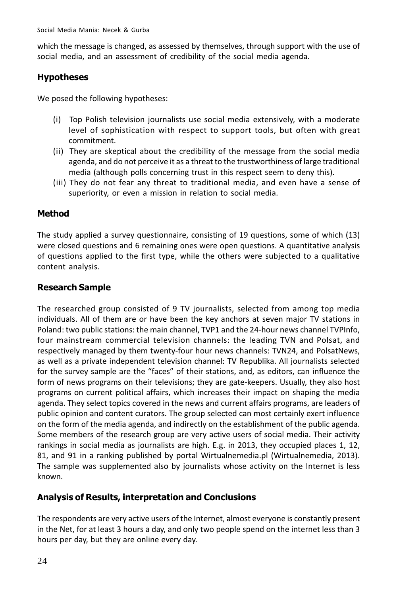which the message is changed, as assessed by themselves, through support with the use of social media, and an assessment of credibility of the social media agenda.

# **Hypotheses**

We posed the following hypotheses:

- (i) Top Polish television journalists use social media extensively, with a moderate level of sophistication with respect to support tools, but often with great commitment.
- (ii) They are skeptical about the credibility of the message from the social media agenda, and do not perceive it as a threat to the trustworthiness of large traditional media (although polls concerning trust in this respect seem to deny this).
- (iii) They do not fear any threat to traditional media, and even have a sense of superiority, or even a mission in relation to social media.

# **Method**

The study applied a survey questionnaire, consisting of 19 questions, some of which (13) were closed questions and 6 remaining ones were open questions. A quantitative analysis of questions applied to the first type, while the others were subjected to a qualitative content analysis.

# **Research Sample**

The researched group consisted of 9 TV journalists, selected from among top media individuals. All of them are or have been the key anchors at seven major TV stations in Poland: two public stations: the main channel, TVP1 and the 24-hour news channel TVPInfo, four mainstream commercial television channels: the leading TVN and Polsat, and respectively managed by them twenty-four hour news channels: TVN24, and PolsatNews, as well as a private independent television channel: TV Republika. All journalists selected for the survey sample are the "faces" of their stations, and, as editors, can influence the form of news programs on their televisions; they are gate-keepers. Usually, they also host programs on current political affairs, which increases their impact on shaping the media agenda. They select topics covered in the news and current affairs programs, are leaders of public opinion and content curators. The group selected can most certainly exert influence on the form of the media agenda, and indirectly on the establishment of the public agenda. Some members of the research group are very active users of social media. Their activity rankings in social media as journalists are high. E.g. in 2013, they occupied places 1, 12, 81, and 91 in a ranking published by portal Wirtualnemedia.pl (Wirtualnemedia, 2013). The sample was supplemented also by journalists whose activity on the Internet is less known.

# **Analysis of Results, interpretation and Conclusions**

The respondents are very active users of the Internet, almost everyone is constantly present in the Net, for at least 3 hours a day, and only two people spend on the internet less than 3 hours per day, but they are online every day.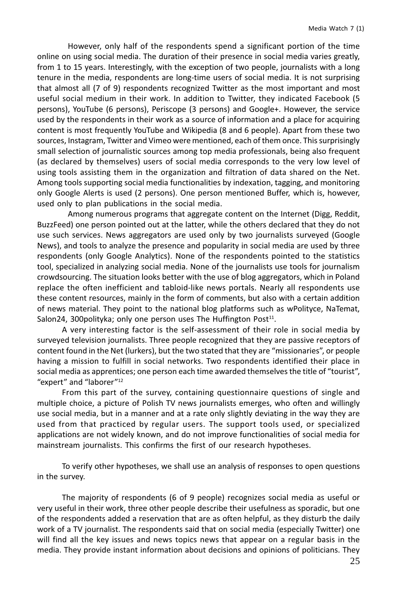However, only half of the respondents spend a significant portion of the time online on using social media. The duration of their presence in social media varies greatly, from 1 to 15 years. Interestingly, with the exception of two people, journalists with a long tenure in the media, respondents are long-time users of social media. It is not surprising that almost all (7 of 9) respondents recognized Twitter as the most important and most useful social medium in their work. In addition to Twitter, they indicated Facebook (5 persons), YouTube (6 persons), Periscope (3 persons) and Google+. However, the service used by the respondents in their work as a source of information and a place for acquiring content is most frequently YouTube and Wikipedia (8 and 6 people). Apart from these two sources, Instagram, Twitter and Vimeo were mentioned, each of them once. This surprisingly small selection of journalistic sources among top media professionals, being also frequent (as declared by themselves) users of social media corresponds to the very low level of using tools assisting them in the organization and filtration of data shared on the Net. Among tools supporting social media functionalities by indexation, tagging, and monitoring only Google Alerts is used (2 persons). One person mentioned Buffer, which is, however, used only to plan publications in the social media.

Among numerous programs that aggregate content on the Internet (Digg, Reddit, BuzzFeed) one person pointed out at the latter, while the others declared that they do not use such services. News aggregators are used only by two journalists surveyed (Google News), and tools to analyze the presence and popularity in social media are used by three respondents (only Google Analytics). None of the respondents pointed to the statistics tool, specialized in analyzing social media. None of the journalists use tools for journalism crowdsourcing. The situation looks better with the use of blog aggregators, which in Poland replace the often inefficient and tabloid-like news portals. Nearly all respondents use these content resources, mainly in the form of comments, but also with a certain addition of news material. They point to the national blog platforms such as wPolityce, NaTemat, Salon24, 300 polity ka; only one person uses The Huffington Post<sup>11</sup>.

A very interesting factor is the self-assessment of their role in social media by surveyed television journalists. Three people recognized that they are passive receptors of content found in the Net (lurkers), but the two stated that they are "missionaries", or people having a mission to fulfill in social networks. Two respondents identified their place in social media as apprentices; one person each time awarded themselves the title of "tourist", "expert" and "laborer"<sup>12</sup>

From this part of the survey, containing questionnaire questions of single and multiple choice, a picture of Polish TV news journalists emerges, who often and willingly use social media, but in a manner and at a rate only slightly deviating in the way they are used from that practiced by regular users. The support tools used, or specialized applications are not widely known, and do not improve functionalities of social media for mainstream journalists. This confirms the first of our research hypotheses.

To verify other hypotheses, we shall use an analysis of responses to open questions in the survey.

The majority of respondents (6 of 9 people) recognizes social media as useful or very useful in their work, three other people describe their usefulness as sporadic, but one of the respondents added a reservation that are as often helpful, as they disturb the daily work of a TV journalist. The respondents said that on social media (especially Twitter) one will find all the key issues and news topics news that appear on a regular basis in the media. They provide instant information about decisions and opinions of politicians. They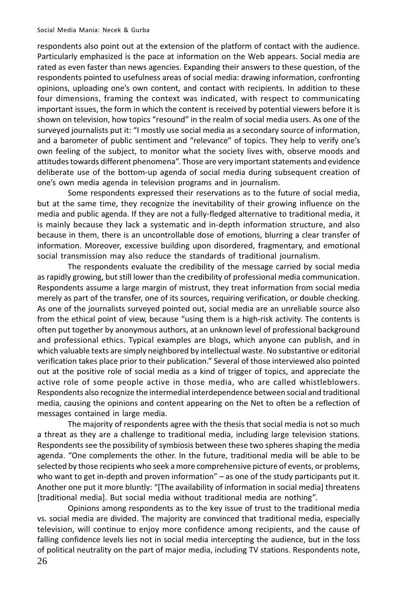respondents also point out at the extension of the platform of contact with the audience. Particularly emphasized is the pace at information on the Web appears. Social media are rated as even faster than news agencies. Expanding their answers to these question, of the respondents pointed to usefulness areas of social media: drawing information, confronting opinions, uploading one's own content, and contact with recipients. In addition to these four dimensions, framing the context was indicated, with respect to communicating important issues, the form in which the content is received by potential viewers before it is shown on television, how topics "resound" in the realm of social media users. As one of the surveyed journalists put it: "I mostly use social media as a secondary source of information, and a barometer of public sentiment and "relevance" of topics. They help to verify one's own feeling of the subject, to monitor what the society lives with, observe moods and attitudes towards different phenomena". Those are very important statements and evidence deliberate use of the bottom-up agenda of social media during subsequent creation of one's own media agenda in television programs and in journalism.

Some respondents expressed their reservations as to the future of social media, but at the same time, they recognize the inevitability of their growing influence on the media and public agenda. If they are not a fully-fledged alternative to traditional media, it is mainly because they lack a systematic and in-depth information structure, and also because in them, there is an uncontrollable dose of emotions, blurring a clear transfer of information. Moreover, excessive building upon disordered, fragmentary, and emotional social transmission may also reduce the standards of traditional journalism.

The respondents evaluate the credibility of the message carried by social media as rapidly growing, but still lower than the credibility of professional media communication. Respondents assume a large margin of mistrust, they treat information from social media merely as part of the transfer, one of its sources, requiring verification, or double checking. As one of the journalists surveyed pointed out, social media are an unreliable source also from the ethical point of view, because "using them is a high-risk activity. The contents is often put together by anonymous authors, at an unknown level of professional background and professional ethics. Typical examples are blogs, which anyone can publish, and in which valuable texts are simply neighbored by intellectual waste. No substantive or editorial verification takes place prior to their publication." Several of those interviewed also pointed out at the positive role of social media as a kind of trigger of topics, and appreciate the active role of some people active in those media, who are called whistleblowers. Respondents also recognize the intermedial interdependence between social and traditional media, causing the opinions and content appearing on the Net to often be a reflection of messages contained in large media.

The majority of respondents agree with the thesis that social media is not so much a threat as they are a challenge to traditional media, including large television stations. Respondents see the possibility of symbiosis between these two spheres shaping the media agenda. "One complements the other. In the future, traditional media will be able to be selected by those recipients who seek a more comprehensive picture of events, or problems, who want to get in-depth and proven information" - as one of the study participants put it. Another one put it more bluntly: "[The availability of information in social media] threatens [traditional media]. But social media without traditional media are nothing".

Opinions among respondents as to the key issue of trust to the traditional media vs. social media are divided. The majority are convinced that traditional media, especially television, will continue to enjoy more confidence among recipients, and the cause of falling confidence levels lies not in social media intercepting the audience, but in the loss of political neutrality on the part of major media, including TV stations. Respondents note, 26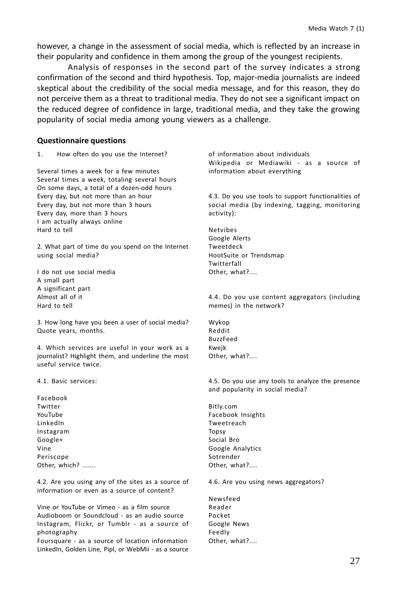however, a change in the assessment of social media, which is reflected by an increase in their popularity and confidence in them among the group of the youngest recipients.

Analysis of responses in the second part of the survey indicates a strong confirmation of the second and third hypothesis. Top, major-media journalists are indeed skeptical about the credibility of the social media message, and for this reason, they do not perceive them as a threat to traditional media. They do not see a significant impact on the reduced degree of confidence in large, traditional media, and they take the growing popularity of social media among young viewers as a challenge.

#### **Questionnaire questions**

 $1.$ How often do you use the Internet?

Several times a week for a few minutes Several times a week, totaling several hours On some days, a total of a dozen-odd hours Every day, but not more than an hour Every day, but not more than 3 hours Every day, more than 3 hours I am actually always online Hard to tell

2. What part of time do you spend on the Internet using social media?

I do not use social media A small part A significant part Almost all of it Hard to tell

3. How long have you been a user of social media? Quote years, months.

4. Which services are useful in your work as a journalist? Highlight them, and underline the most useful service twice.

4.1. Basic services:

Facebook Twitter YouTube LinkedIn Instagram Google+ Vine Periscone Other, which? .......

4.2. Are you using any of the sites as a source of information or even as a source of content?

Vine or YouTube or Vimeo - as a film source Audioboom or Soundcloud - as an audio source Instagram, Flickr, or Tumblr - as a source of photography

Foursquare - as a source of location information LinkedIn, Golden Line, Pipl, or WebMii - as a source of information about individuals Wikipedia or Mediawiki - as a source of information about everything

4.3. Do you use tools to support functionalities of social media (by indexing, tagging, monitoring activity):

**Netvibes** Google Alerts Tweetdeck HootSuite or Trendsmap Twitterfall Other. what?....

4.4. Do you use content aggregators (including memes) in the network?

Wykop Reddit **BuzzFeed** Kweik Other, what?....

4.5. Do you use any tools to analyze the presence and popularity in social media?

Bitly.com Facebook Insights Tweetreach Topsy Social Bro Google Analytics Sotrender Other, what?....

4.6. Are you using news aggregators?

Newsfeed Reader Pocket Google News Feedly Other, what?....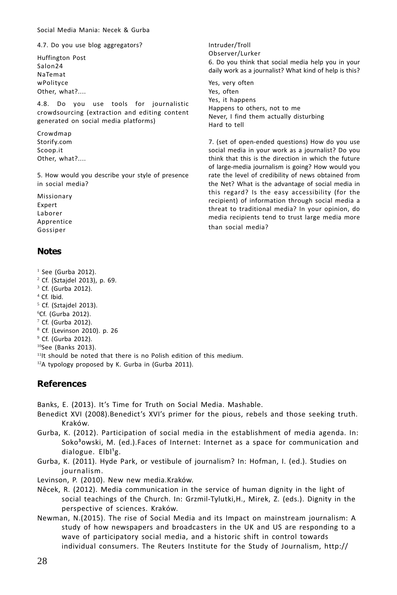Social Media Mania: Necek & Gurba

4.7. Do you use blog aggregators?

Huffington Post Salon24 NaTemat wPolityce Other, what?....

4.8. Do you use tools for journalistic crowdsourcing (extraction and editing content generated on social media platforms)

Crowdmap Storify.com Scoop.it Other, what?....

5. How would you describe your style of presence in social media?

Missionary Expert Laborer Apprentice Gossiper

#### **Notes**

- $<sup>1</sup>$  See (Gurba 2012).</sup>
- <sup>2</sup> Cf. (Sztajdel 2013), p. 69.
- <sup>3</sup> Cf. (Gurba 2012).
- <sup>4</sup> Cf. Ibid.
- $5$  Cf. (Sztajdel 2013).
- <sup>6</sup>Cf. (Gurba 2012).
- $7$  Cf. (Gurba 2012).
- <sup>8</sup> Cf. (Levinson 2010). p. 26
- <sup>9</sup> Cf. (Gurba 2012).
- $10$ See (Banks 2013).
- <sup>11</sup>It should be noted that there is no Polish edition of this medium.
- <sup>12</sup>A typology proposed by K. Gurba in (Gurba 2011).

# **References**

Banks, E. (2013). It's Time for Truth on Social Media. Mashable.

- Benedict XVI (2008). Benedict's XVI's primer for the pious, rebels and those seeking truth. Kraków.
- Gurba, K. (2012). Participation of social media in the establishment of media agenda. In: Soko<sup>3</sup>owski, M. (ed.).Faces of Internet: Internet as a space for communication and dialogue.  $Elbl<sup>1</sup>g.$
- Gurba, K. (2011). Hyde Park, or vestibule of journalism? In: Hofman, I. (ed.). Studies on journalism.
- Levinson, P. (2010). New new media.Kraków.
- Nêcek, R. (2012). Media communication in the service of human dignity in the light of social teachings of the Church. In: Grzmil-Tylutki, H., Mirek, Z. (eds.). Dignity in the perspective of sciences. Kraków.
- Newman, N.(2015). The rise of Social Media and its Impact on mainstream journalism: A study of how newspapers and broadcasters in the UK and US are responding to a wave of participatory social media, and a historic shift in control towards individual consumers. The Reuters Institute for the Study of Journalism, http://

Intruder/Troll Observer/Lurker 6. Do you think that social media help you in your daily work as a journalist? What kind of help is this? Yes, very often

Yes, often Yes, it happens Happens to others, not to me Never, I find them actually disturbing Hard to tell

7. (set of open-ended questions) How do you use social media in your work as a journalist? Do you think that this is the direction in which the future of large-media journalism is going? How would you rate the level of credibility of news obtained from the Net? What is the advantage of social media in this regard? Is the easy accessibility (for the recipient) of information through social media a threat to traditional media? In your opinion, do media recipients tend to trust large media more than social media?